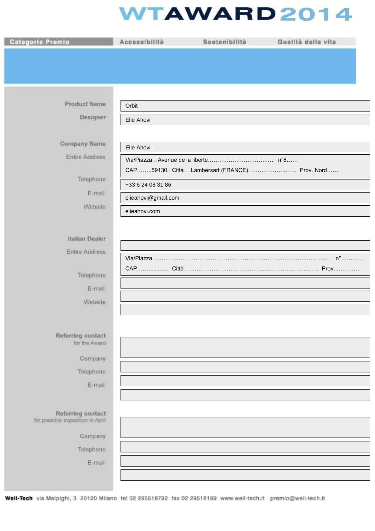## **WTAWARD2014**

| Categorie Premio                                      | Accessibilità                            | Sostenibilità                                  | Qualità della vita |
|-------------------------------------------------------|------------------------------------------|------------------------------------------------|--------------------|
|                                                       |                                          |                                                |                    |
|                                                       |                                          |                                                |                    |
|                                                       |                                          |                                                |                    |
| <b>Product Name</b>                                   | Orbit                                    |                                                |                    |
| Designer                                              | Elie Ahovi                               |                                                |                    |
|                                                       |                                          |                                                |                    |
| Company Name                                          | Elie Ahovi                               |                                                |                    |
| Entire Address                                        |                                          |                                                |                    |
| Telephone                                             |                                          | CAP59130. Città Lambersart (FRANCE) Prov. Nord |                    |
| E-mail                                                | +33 6 24 08 31 86<br>elieahovi@gmail.com |                                                |                    |
| Website                                               | elieahovi.com                            |                                                |                    |
|                                                       |                                          |                                                |                    |
| <b>Italian Dealer</b>                                 |                                          |                                                |                    |
| Entire Address                                        |                                          |                                                |                    |
|                                                       |                                          |                                                |                    |
| Telephone<br>E-mail                                   |                                          |                                                |                    |
| Website                                               |                                          |                                                |                    |
|                                                       |                                          |                                                |                    |
|                                                       |                                          |                                                |                    |
| Referring contact<br>for the Award                    |                                          |                                                |                    |
| Company                                               |                                          |                                                |                    |
| Telephone:                                            |                                          |                                                |                    |
| E-mail                                                |                                          |                                                |                    |
|                                                       |                                          |                                                |                    |
| Referring contact<br>for possible exposition in April |                                          |                                                |                    |
| Company                                               |                                          |                                                |                    |
| Telephone                                             |                                          |                                                |                    |
| E-mail                                                |                                          |                                                |                    |
|                                                       |                                          |                                                |                    |
|                                                       |                                          |                                                |                    |